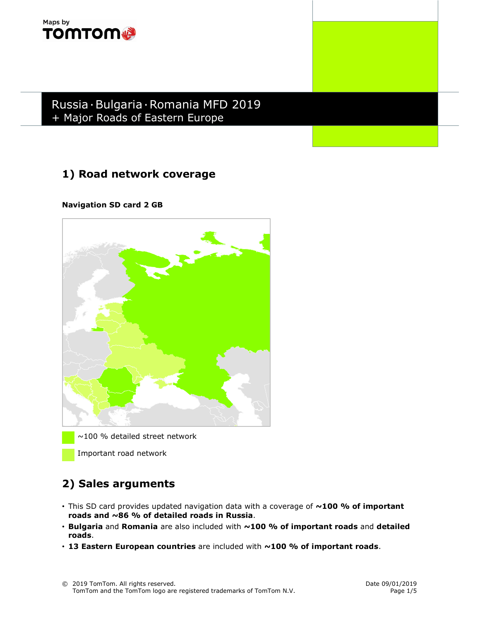

Russia∙Bulgaria∙Romania MFD 2019 + Major Roads of Eastern Europe

# 1) Road network coverage

Navigation SD card 2 GB



~100 % detailed street network

Important road network

## 2) Sales arguments

- This SD card provides updated navigation data with a coverage of  $\sim$ 100 % of important roads and ~86 % of detailed roads in Russia.
- $\cdot$  Bulgaria and Romania are also included with  $\sim$ 100 % of important roads and detailed roads.
- $\cdot$  13 Eastern European countries are included with  $\sim$  100 % of important roads.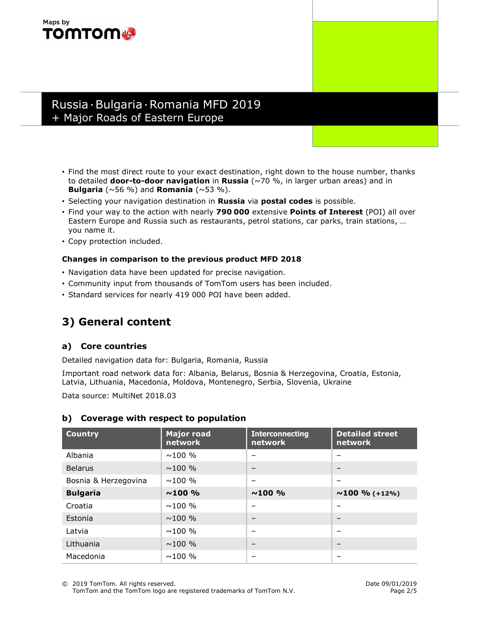#### Maps by **TOMTOM®**

### Russia∙Bulgaria∙Romania MFD 2019 + Major Roads of Eastern Europe

- Find the most direct route to your exact destination, right down to the house number, thanks to detailed **door-to-door navigation** in Russia ( $\sim$ 70 %, in larger urban areas) and in **Bulgaria** ( $\sim$ 56 %) and **Romania** ( $\sim$ 53 %).
- Selecting your navigation destination in Russia via postal codes is possible.
- Find your way to the action with nearly 790 000 extensive Points of Interest (POI) all over Eastern Europe and Russia such as restaurants, petrol stations, car parks, train stations, … you name it.
- Copy protection included.

#### Changes in comparison to the previous product MFD 2018

- Navigation data have been updated for precise navigation.
- Community input from thousands of TomTom users has been included.
- Standard services for nearly 419 000 POI have been added.

## 3) General content

#### a) Core countries

Detailed navigation data for: Bulgaria, Romania, Russia

Important road network data for: Albania, Belarus, Bosnia & Herzegovina, Croatia, Estonia, Latvia, Lithuania, Macedonia, Moldova, Montenegro, Serbia, Slovenia, Ukraine

Data source: MultiNet 2018.03

| <b>Country</b>       | <b>Major road</b><br>network | <b>Interconnecting</b><br>network | <b>Detailed street</b><br><b>network</b> |
|----------------------|------------------------------|-----------------------------------|------------------------------------------|
| Albania              | $\sim$ 100 %                 |                                   |                                          |
| <b>Belarus</b>       | $\sim$ 100 %                 | $\overline{\phantom{m}}$          | $\qquad \qquad$                          |
| Bosnia & Herzegovina | $\sim$ 100 %                 | $\overline{\phantom{m}}$          | $\overline{\phantom{0}}$                 |
| <b>Bulgaria</b>      | $~100\%$                     | $~100\%$                          | $\sim$ 100 % (+12%)                      |
| Croatia              | $\sim$ 100 %                 | $\overline{\phantom{m}}$          | $\overline{\phantom{0}}$                 |
| Estonia              | $\sim$ 100 %                 | $\overline{\phantom{m}}$          | $\overline{\phantom{0}}$                 |
| Latvia               | $\sim$ 100 %                 |                                   | $\overline{\phantom{0}}$                 |
| Lithuania            | $\sim$ 100 %                 | $\qquad \qquad$                   | $\qquad \qquad$                          |
| Macedonia            | $\sim$ 100 %                 | $\qquad \qquad$                   | $\overline{\phantom{0}}$                 |

#### b) Coverage with respect to population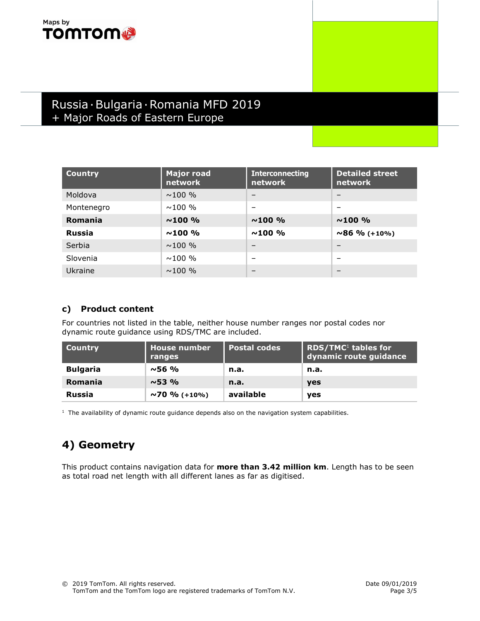#### Maps by **TOMTOM**

## Russia∙Bulgaria∙Romania MFD 2019 + Major Roads of Eastern Europe

| <b>Country</b> | <b>Major road</b><br>network | <b>Interconnecting</b><br>network | <b>Detailed street</b><br>network |
|----------------|------------------------------|-----------------------------------|-----------------------------------|
| Moldova        | $\sim$ 100 %                 | $\overline{\phantom{0}}$          | $\overline{\phantom{m}}$          |
| Montenegro     | $\sim$ 100 %                 | $\overline{\phantom{m}}$          | $\overline{\phantom{m}}$          |
| Romania        | $~100\%$                     | $~100\%$                          | $~100\%$                          |
| <b>Russia</b>  | $\sim$ 100 %                 | $~100\%$                          | $\sim$ 86 % (+10%)                |
| Serbia         | $\sim$ 100 %                 | $\overline{\phantom{m}}$          | $\overline{\phantom{0}}$          |
| Slovenia       | $\sim$ 100 %                 | $\overline{\phantom{0}}$          | $\overline{\phantom{0}}$          |
| Ukraine        | $\sim$ 100 %                 | $\overline{\phantom{0}}$          | $\overline{\phantom{m}}$          |

#### c) Product content

For countries not listed in the table, neither house number ranges nor postal codes nor dynamic route guidance using RDS/TMC are included.

| <b>Country</b>  | <b>House number</b><br>ranges | <b>Postal codes</b> | RDS/TMC <sup>1</sup> tables for<br>dynamic route guidance |
|-----------------|-------------------------------|---------------------|-----------------------------------------------------------|
| <b>Bulgaria</b> | $~56\%$                       | n.a.                | n.a.                                                      |
| <b>Romania</b>  | $~10^{15}$                    | n.a.                | <b>ves</b>                                                |
| <b>Russia</b>   | $\sim$ 70 % (+10%)            | available           | <b>ves</b>                                                |

 $<sup>1</sup>$  The availability of dynamic route guidance depends also on the navigation system capabilities.</sup>

## 4) Geometry

This product contains navigation data for more than 3.42 million km. Length has to be seen as total road net length with all different lanes as far as digitised.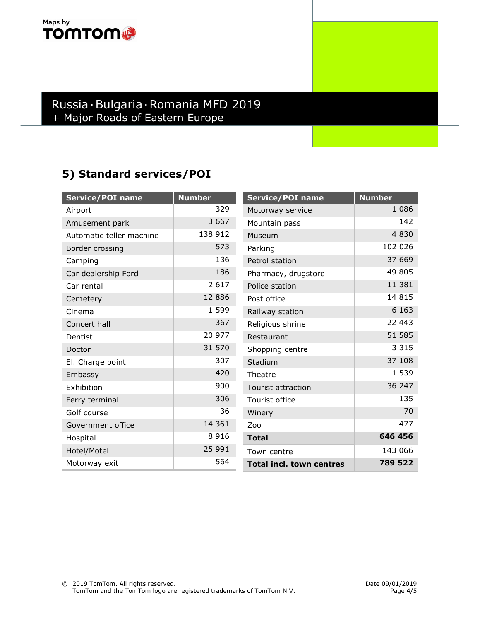#### Maps by **TOMTOM®**

## Russia∙Bulgaria∙Romania MFD 2019 + Major Roads of Eastern Europe

## 5) Standard services/POI

| <b>Service/POI name</b>  | <b>Number</b> | Service/POI name                | <b>Number</b> |
|--------------------------|---------------|---------------------------------|---------------|
| Airport                  | 329           | Motorway service                | 1 0 8 6       |
| Amusement park           | 3 6 6 7       | Mountain pass                   | 142           |
| Automatic teller machine | 138 912       | Museum                          | 4830          |
| Border crossing          | 573           | Parking                         | 102 026       |
| Camping                  | 136           | Petrol station                  | 37 669        |
| Car dealership Ford      | 186           | Pharmacy, drugstore             | 49 805        |
| Car rental               | 2 6 1 7       | Police station                  | 11 381        |
| Cemetery                 | 12 8 8 6      | Post office                     | 14 8 15       |
| Cinema                   | 1 5 9 9       | Railway station                 | 6 1 6 3       |
| Concert hall             | 367           | Religious shrine                | 22 443        |
| Dentist                  | 20 977        | Restaurant                      | 51 585        |
| Doctor                   | 31 570        | Shopping centre                 | 3 3 1 5       |
| El. Charge point         | 307           | Stadium                         | 37 108        |
| Embassy                  | 420           | Theatre                         | 1 539         |
| Exhibition               | 900           | <b>Tourist attraction</b>       | 36 247        |
| Ferry terminal           | 306           | Tourist office                  | 135           |
| Golf course              | 36            | Winery                          | 70            |
| Government office        | 14 361        | Zoo                             | 477           |
| Hospital                 | 8 9 1 6       | <b>Total</b>                    | 646 456       |
| Hotel/Motel              | 25 991        | Town centre                     | 143 066       |
| Motorway exit            | 564           | <b>Total incl. town centres</b> | 789 522       |